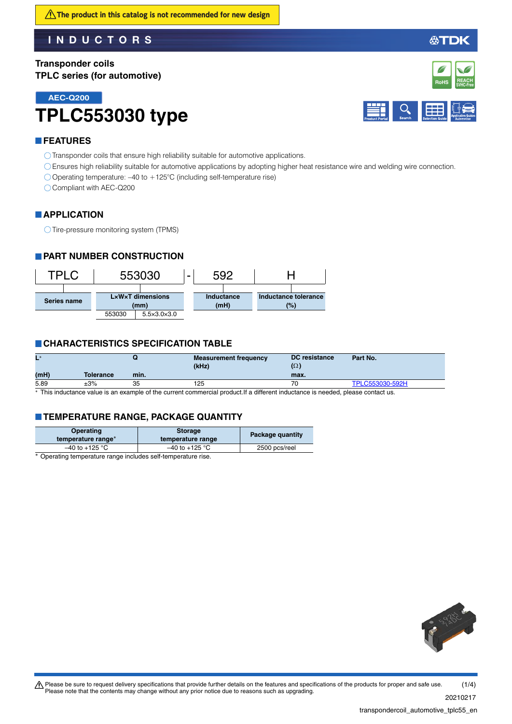**Transponder coils TPLC series (for automotive)**

**AEC-Q200**

# **TPLC553030 type**



**REACH SVHC-Free RoHS**

### **FEATURES**

Transponder coils that ensure high reliability suitable for automotive applications.

- Ensures high reliability suitable for automotive applications by adopting higher heat resistance wire and welding wire connection.
- $\bigcirc$  Operating temperature: –40 to +125°C (including self-temperature rise)

Compliant with AEC-Q200

### **APPLICATION**

Tire-pressure monitoring system (TPMS)

### **PART NUMBER CONSTRUCTION**



### **CHARACTERISTICS SPECIFICATION TABLE**

| $L^*$ |           |      | <b>Measurement frequency</b><br>(kHz) | <b>DC</b> resistance<br>$(\Omega)$ | Part No.        |
|-------|-----------|------|---------------------------------------|------------------------------------|-----------------|
| (mH)  | Tolerance | min. |                                       | max.                               |                 |
| 5.89  | $\pm 3\%$ | 35   | 125                                   | 70                                 | TPLC553030-592H |
|       |           |      |                                       |                                    |                 |

This inductance value is an example of the current commercial product.If a different inductance is needed, please contact us.

### **TEMPERATURE RANGE, PACKAGE QUANTITY**

| Operating<br>temperature range <sup>*</sup> | <b>Storage</b><br>temperature range | Package quantity |
|---------------------------------------------|-------------------------------------|------------------|
| $-40$ to +125 °C                            | $-40$ to +125 °C                    | 2500 pcs/reel    |

Operating temperature range includes self-temperature rise.



transpondercoil\_automotive\_tplc55\_en.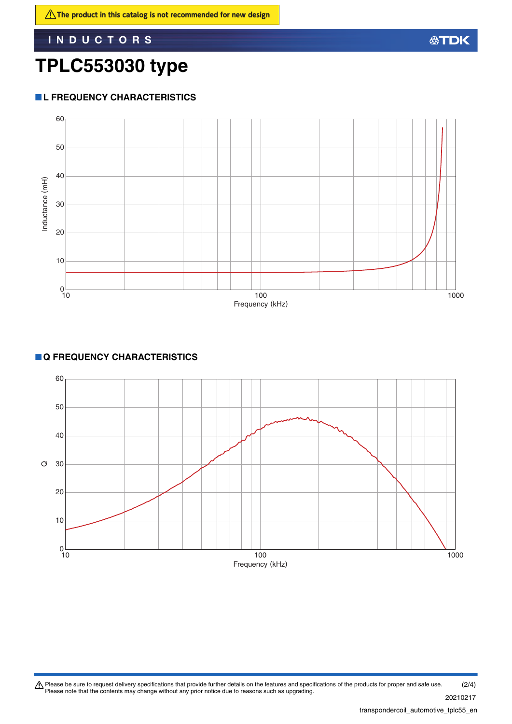## **TPLC553030 type**

### **L FREQUENCY CHARACTERISTICS**



### **Q FREQUENCY CHARACTERISTICS**

![](_page_1_Figure_6.jpeg)

Please be sure to request delivery specifications that provide further details on the features and specifications of the products for proper and safe use.<br>Please note that the contents may change without any prior notice d 20210217 (2/4)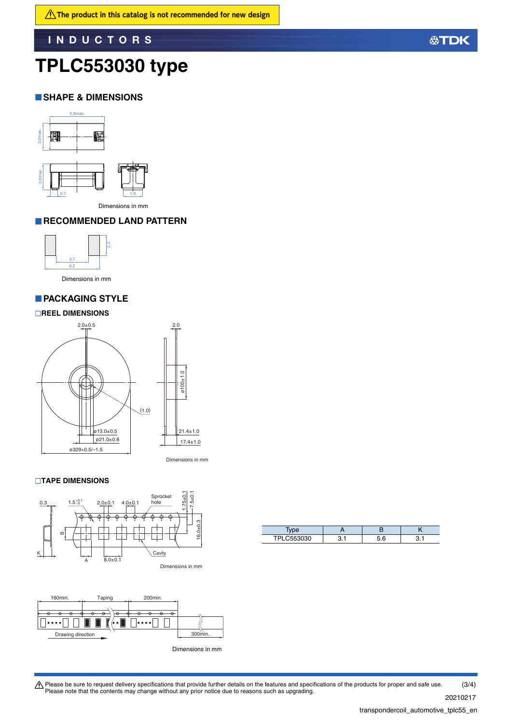## **TPLC553030 type**

### **SHAPE & DIMENSIONS**

![](_page_2_Figure_4.jpeg)

Dimensions in mm

### **RECOMMENDED LAND PATTERN**

![](_page_2_Picture_7.jpeg)

Dimensions in mm

### **PACKAGING STYLE**

#### **REEL DIMENSIONS**

![](_page_2_Figure_11.jpeg)

#### **TAPE DIMENSIONS**

![](_page_2_Figure_13.jpeg)

![](_page_2_Figure_14.jpeg)

Dimensions in mm

| <sup>-</sup> 53030 |  |  |
|--------------------|--|--|

Please be sure to request delivery specifications that provide further details on the features and specifications of the products for proper and safe use.<br>Please note that the contents may change without any prior notice d 20210217 (3/4)

**公TDK**